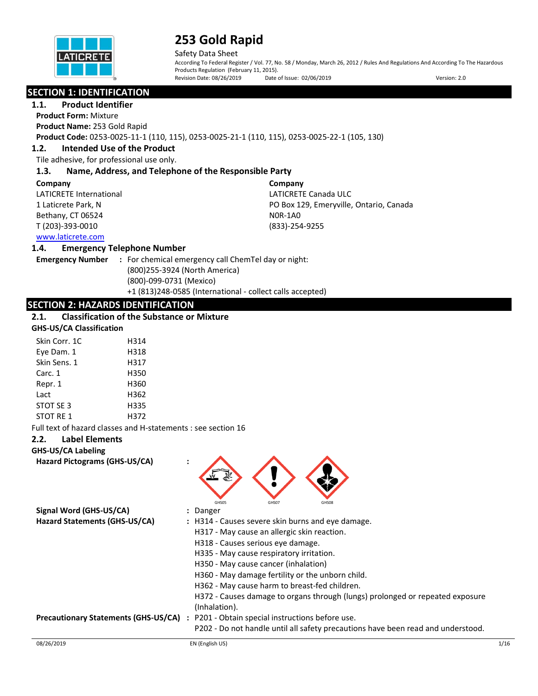

Safety Data Sheet According To Federal Register / Vol. 77, No. 58 / Monday, March 26, 2012 / Rules And Regulations And According To The Hazardous Products Regulation (February 11, 2015). Revision Date: 08/26/2019 Date of Issue: 02/06/2019 Version: 2.0

## **SECTION 1: IDENTIFICATION**

## **1.1. Product Identifier**

**Product Form:** Mixture **Product Name:** 253 Gold Rapid **Product Code:** 0253-0025-11-1 (110, 115), 0253-0025-21-1 (110, 115), 0253-0025-22-1 (105, 130)

### **1.2. Intended Use of the Product**

Tile adhesive, for professional use only.

#### **1.3. Name, Address, and Telephone of the Responsible Party**

#### **Company**

LATICRETE International 1 Laticrete Park, N Bethany, CT 06524 T (203)-393-0010

**Company** LATICRETE Canada ULC PO Box 129, Emeryville, Ontario, Canada N0R-1A0 (833)-254-9255

### [www.laticrete.com](http://www.laticrete.com/)

#### **1.4. Emergency Telephone Number**

**Emergency Number :** For chemical emergency call ChemTel day or night: (800)255-3924 (North America) (800)-099-0731 (Mexico) +1 (813)248-0585 (International - collect calls accepted)

### **SECTION 2: HAZARDS IDENTIFICATION**

## **2.1. Classification of the Substance or Mixture**

## **GHS-US/CA Classification**

| Skin Corr. 1C | H314 |
|---------------|------|
| Eye Dam. 1    | H318 |
| Skin Sens. 1  | H317 |
| Carc. 1       | H350 |
| Repr. 1       | H360 |
| Lact          | H362 |
| STOT SE 3     | H335 |
| STOT RE 1     | H372 |

Full text of hazard classes and H-statements : see section 16

### **2.2. Label Elements**

## **GHS-US/CA Labeling**

**Hazard Pictograms (GHS-US/CA) :**



| Signal Word (GHS-US/CA)              | : Danger                                                                                       |
|--------------------------------------|------------------------------------------------------------------------------------------------|
| Hazard Statements (GHS-US/CA)        | : H314 - Causes severe skin burns and eye damage.                                              |
|                                      | H317 - May cause an allergic skin reaction.                                                    |
|                                      | H318 - Causes serious eye damage.                                                              |
|                                      | H335 - May cause respiratory irritation.                                                       |
|                                      | H350 - May cause cancer (inhalation)                                                           |
|                                      | H360 - May damage fertility or the unborn child.                                               |
|                                      | H362 - May cause harm to breast-fed children.                                                  |
|                                      | H372 - Causes damage to organs through (lungs) prolonged or repeated exposure<br>(Inhalation). |
| Precautionary Statements (GHS-US/CA) | : P201 - Obtain special instructions before use.                                               |
|                                      | P202 - Do not handle until all safety precautions have been read and understood.               |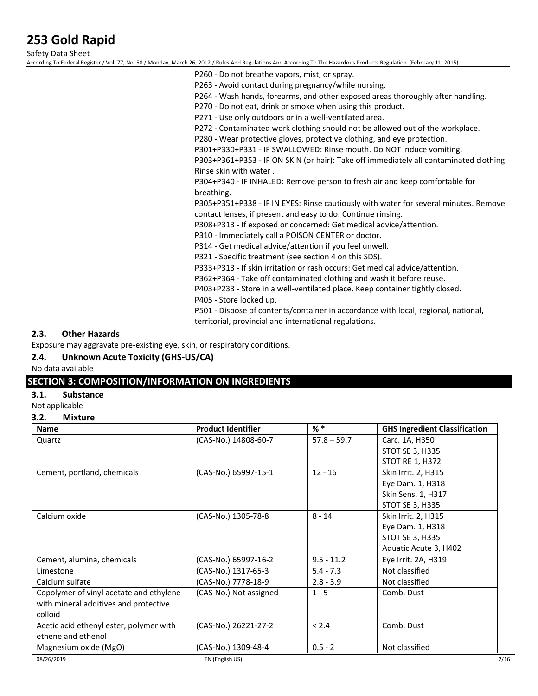Safety Data Sheet According To Federal Register / Vol. 77, No. 58 / Monday, March 26, 2012 / Rules And Regulations And According To The Hazardous Products Regulation (February 11, 2015).

P260 - Do not breathe vapors, mist, or spray.

P263 - Avoid contact during pregnancy/while nursing.

P264 - Wash hands, forearms, and other exposed areas thoroughly after handling.

P270 - Do not eat, drink or smoke when using this product.

P271 - Use only outdoors or in a well-ventilated area.

P272 - Contaminated work clothing should not be allowed out of the workplace.

P280 - Wear protective gloves, protective clothing, and eye protection.

P301+P330+P331 - IF SWALLOWED: Rinse mouth. Do NOT induce vomiting.

P303+P361+P353 - IF ON SKIN (or hair): Take off immediately all contaminated clothing. Rinse skin with water .

P304+P340 - IF INHALED: Remove person to fresh air and keep comfortable for breathing.

P305+P351+P338 - IF IN EYES: Rinse cautiously with water for several minutes. Remove contact lenses, if present and easy to do. Continue rinsing.

P308+P313 - If exposed or concerned: Get medical advice/attention.

P310 - Immediately call a POISON CENTER or doctor.

P314 - Get medical advice/attention if you feel unwell.

P321 - Specific treatment (see section 4 on this SDS).

P333+P313 - If skin irritation or rash occurs: Get medical advice/attention.

P362+P364 - Take off contaminated clothing and wash it before reuse.

P403+P233 - Store in a well-ventilated place. Keep container tightly closed.

P405 - Store locked up.

P501 - Dispose of contents/container in accordance with local, regional, national, territorial, provincial and international regulations.

### **2.3. Other Hazards**

Exposure may aggravate pre-existing eye, skin, or respiratory conditions.

#### **2.4. Unknown Acute Toxicity (GHS-US/CA)**

No data available

### **SECTION 3: COMPOSITION/INFORMATION ON INGREDIENTS**

#### **3.1. Substance**

Not applicable

#### **3.2. Mixture**

| <b>Name</b>                             | <b>Product Identifier</b> | $%$ $*$       | <b>GHS Ingredient Classification</b> |
|-----------------------------------------|---------------------------|---------------|--------------------------------------|
| Quartz                                  | (CAS-No.) 14808-60-7      | $57.8 - 59.7$ | Carc. 1A, H350                       |
|                                         |                           |               | <b>STOT SE 3, H335</b>               |
|                                         |                           |               | <b>STOT RE 1, H372</b>               |
| Cement, portland, chemicals             | (CAS-No.) 65997-15-1      | $12 - 16$     | Skin Irrit. 2, H315                  |
|                                         |                           |               | Eye Dam. 1, H318                     |
|                                         |                           |               | Skin Sens. 1, H317                   |
|                                         |                           |               | <b>STOT SE 3, H335</b>               |
| Calcium oxide                           | (CAS-No.) 1305-78-8       | $8 - 14$      | Skin Irrit. 2, H315                  |
|                                         |                           |               | Eye Dam. 1, H318                     |
|                                         |                           |               | STOT SE 3, H335                      |
|                                         |                           |               | Aquatic Acute 3, H402                |
| Cement, alumina, chemicals              | (CAS-No.) 65997-16-2      | $9.5 - 11.2$  | Eye Irrit. 2A, H319                  |
| Limestone                               | (CAS-No.) 1317-65-3       | $5.4 - 7.3$   | Not classified                       |
| Calcium sulfate                         | (CAS-No.) 7778-18-9       | $2.8 - 3.9$   | Not classified                       |
| Copolymer of vinyl acetate and ethylene | (CAS-No.) Not assigned    | $1 - 5$       | Comb. Dust                           |
| with mineral additives and protective   |                           |               |                                      |
| colloid                                 |                           |               |                                      |
| Acetic acid ethenyl ester, polymer with | (CAS-No.) 26221-27-2      | < 2.4         | Comb. Dust                           |
| ethene and ethenol                      |                           |               |                                      |
| Magnesium oxide (MgO)                   | (CAS-No.) 1309-48-4       | $0.5 - 2$     | Not classified                       |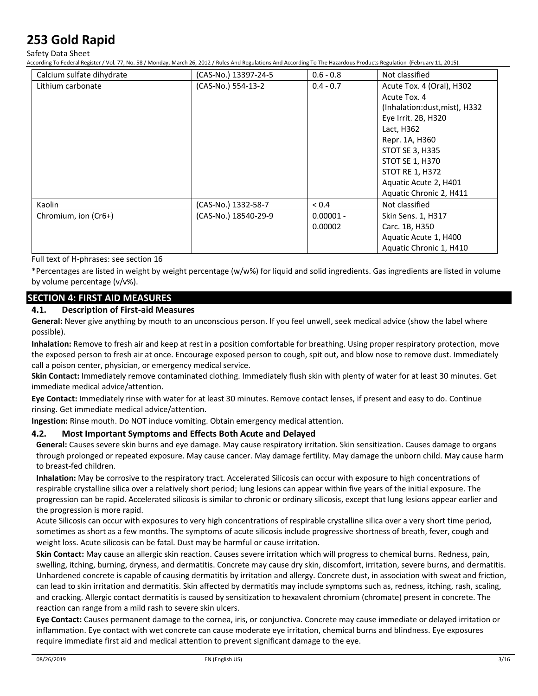Safety Data Sheet

According To Federal Register / Vol. 77, No. 58 / Monday, March 26, 2012 / Rules And Regulations And According To The Hazardous Products Regulation (February 11, 2015).

| Calcium sulfate dihydrate | (CAS-No.) 13397-24-5 | $0.6 - 0.8$ | Not classified                |
|---------------------------|----------------------|-------------|-------------------------------|
| Lithium carbonate         | (CAS-No.) 554-13-2   | $0.4 - 0.7$ | Acute Tox. 4 (Oral), H302     |
|                           |                      |             | Acute Tox. 4                  |
|                           |                      |             | (Inhalation:dust, mist), H332 |
|                           |                      |             | Eye Irrit. 2B, H320           |
|                           |                      |             | Lact, H362                    |
|                           |                      |             | Repr. 1A, H360                |
|                           |                      |             | <b>STOT SE 3, H335</b>        |
|                           |                      |             | <b>STOT SE 1, H370</b>        |
|                           |                      |             | <b>STOT RE 1, H372</b>        |
|                           |                      |             | Aquatic Acute 2, H401         |
|                           |                      |             | Aquatic Chronic 2, H411       |
| Kaolin                    | (CAS-No.) 1332-58-7  | < 0.4       | Not classified                |
| Chromium, ion (Cr6+)      | (CAS-No.) 18540-29-9 | $0.00001 -$ | Skin Sens. 1, H317            |
|                           |                      | 0.00002     | Carc. 1B, H350                |
|                           |                      |             | Aquatic Acute 1, H400         |
|                           |                      |             | Aquatic Chronic 1, H410       |

Full text of H-phrases: see section 16

\*Percentages are listed in weight by weight percentage (w/w%) for liquid and solid ingredients. Gas ingredients are listed in volume by volume percentage (v/v%).

### **SECTION 4: FIRST AID MEASURES**

### **4.1. Description of First-aid Measures**

**General:** Never give anything by mouth to an unconscious person. If you feel unwell, seek medical advice (show the label where possible).

**Inhalation:** Remove to fresh air and keep at rest in a position comfortable for breathing. Using proper respiratory protection, move the exposed person to fresh air at once. Encourage exposed person to cough, spit out, and blow nose to remove dust. Immediately call a poison center, physician, or emergency medical service.

**Skin Contact:** Immediately remove contaminated clothing. Immediately flush skin with plenty of water for at least 30 minutes. Get immediate medical advice/attention.

**Eye Contact:** Immediately rinse with water for at least 30 minutes. Remove contact lenses, if present and easy to do. Continue rinsing. Get immediate medical advice/attention.

**Ingestion:** Rinse mouth. Do NOT induce vomiting. Obtain emergency medical attention.

#### **4.2. Most Important Symptoms and Effects Both Acute and Delayed**

**General:** Causes severe skin burns and eye damage. May cause respiratory irritation. Skin sensitization. Causes damage to organs through prolonged or repeated exposure. May cause cancer. May damage fertility. May damage the unborn child. May cause harm to breast-fed children.

**Inhalation:** May be corrosive to the respiratory tract. Accelerated Silicosis can occur with exposure to high concentrations of respirable crystalline silica over a relatively short period; lung lesions can appear within five years of the initial exposure. The progression can be rapid. Accelerated silicosis is similar to chronic or ordinary silicosis, except that lung lesions appear earlier and the progression is more rapid.

Acute Silicosis can occur with exposures to very high concentrations of respirable crystalline silica over a very short time period, sometimes as short as a few months. The symptoms of acute silicosis include progressive shortness of breath, fever, cough and weight loss. Acute silicosis can be fatal. Dust may be harmful or cause irritation.

**Skin Contact:** May cause an allergic skin reaction. Causes severe irritation which will progress to chemical burns. Redness, pain, swelling, itching, burning, dryness, and dermatitis. Concrete may cause dry skin, discomfort, irritation, severe burns, and dermatitis. Unhardened concrete is capable of causing dermatitis by irritation and allergy. Concrete dust, in association with sweat and friction, can lead to skin irritation and dermatitis. Skin affected by dermatitis may include symptoms such as, redness, itching, rash, scaling, and cracking. Allergic contact dermatitis is caused by sensitization to hexavalent chromium (chromate) present in concrete. The reaction can range from a mild rash to severe skin ulcers.

**Eye Contact:** Causes permanent damage to the cornea, iris, or conjunctiva. Concrete may cause immediate or delayed irritation or inflammation. Eye contact with wet concrete can cause moderate eye irritation, chemical burns and blindness. Eye exposures require immediate first aid and medical attention to prevent significant damage to the eye.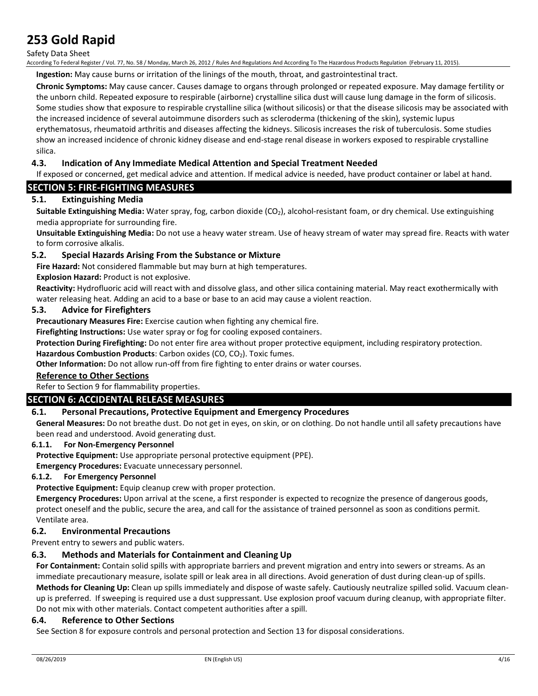#### Safety Data Sheet

According To Federal Register / Vol. 77, No. 58 / Monday, March 26, 2012 / Rules And Regulations And According To The Hazardous Products Regulation (February 11, 2015).

**Ingestion:** May cause burns or irritation of the linings of the mouth, throat, and gastrointestinal tract.

**Chronic Symptoms:** May cause cancer. Causes damage to organs through prolonged or repeated exposure. May damage fertility or the unborn child. Repeated exposure to respirable (airborne) crystalline silica dust will cause lung damage in the form of silicosis. Some studies show that exposure to respirable crystalline silica (without silicosis) or that the disease silicosis may be associated with the increased incidence of several autoimmune disorders such as scleroderma (thickening of the skin), systemic lupus erythematosus, rheumatoid arthritis and diseases affecting the kidneys. Silicosis increases the risk of tuberculosis. Some studies show an increased incidence of chronic kidney disease and end-stage renal disease in workers exposed to respirable crystalline silica.

#### **4.3. Indication of Any Immediate Medical Attention and Special Treatment Needed**

If exposed or concerned, get medical advice and attention. If medical advice is needed, have product container or label at hand.

### **SECTION 5: FIRE-FIGHTING MEASURES**

#### **5.1. Extinguishing Media**

**Suitable Extinguishing Media:** Water spray, fog, carbon dioxide (CO<sub>2</sub>), alcohol-resistant foam, or dry chemical. Use extinguishing media appropriate for surrounding fire.

**Unsuitable Extinguishing Media:** Do not use a heavy water stream. Use of heavy stream of water may spread fire. Reacts with water to form corrosive alkalis.

#### **5.2. Special Hazards Arising From the Substance or Mixture**

**Fire Hazard:** Not considered flammable but may burn at high temperatures.

**Explosion Hazard:** Product is not explosive.

**Reactivity:** Hydrofluoric acid will react with and dissolve glass, and other silica containing material. May react exothermically with water releasing heat. Adding an acid to a base or base to an acid may cause a violent reaction.

#### **5.3. Advice for Firefighters**

**Precautionary Measures Fire:** Exercise caution when fighting any chemical fire.

**Firefighting Instructions:** Use water spray or fog for cooling exposed containers.

**Protection During Firefighting:** Do not enter fire area without proper protective equipment, including respiratory protection.

Hazardous Combustion Products: Carbon oxides (CO, CO<sub>2</sub>). Toxic fumes.

**Other Information:** Do not allow run-off from fire fighting to enter drains or water courses.

#### **Reference to Other Sections**

Refer to Section 9 for flammability properties.

#### **SECTION 6: ACCIDENTAL RELEASE MEASURES**

#### **6.1. Personal Precautions, Protective Equipment and Emergency Procedures**

**General Measures:** Do not breathe dust. Do not get in eyes, on skin, or on clothing. Do not handle until all safety precautions have been read and understood. Avoid generating dust.

#### **6.1.1. For Non-Emergency Personnel**

**Protective Equipment:** Use appropriate personal protective equipment (PPE).

**Emergency Procedures:** Evacuate unnecessary personnel.

#### **6.1.2. For Emergency Personnel**

**Protective Equipment:** Equip cleanup crew with proper protection.

**Emergency Procedures:** Upon arrival at the scene, a first responder is expected to recognize the presence of dangerous goods, protect oneself and the public, secure the area, and call for the assistance of trained personnel as soon as conditions permit. Ventilate area.

#### **6.2. Environmental Precautions**

Prevent entry to sewers and public waters.

#### **6.3. Methods and Materials for Containment and Cleaning Up**

**For Containment:** Contain solid spills with appropriate barriers and prevent migration and entry into sewers or streams. As an immediate precautionary measure, isolate spill or leak area in all directions. Avoid generation of dust during clean-up of spills. **Methods for Cleaning Up:** Clean up spills immediately and dispose of waste safely. Cautiously neutralize spilled solid. Vacuum cleanup is preferred. If sweeping is required use a dust suppressant. Use explosion proof vacuum during cleanup, with appropriate filter. Do not mix with other materials. Contact competent authorities after a spill.

#### **6.4. Reference to Other Sections**

See Section 8 for exposure controls and personal protection and Section 13 for disposal considerations.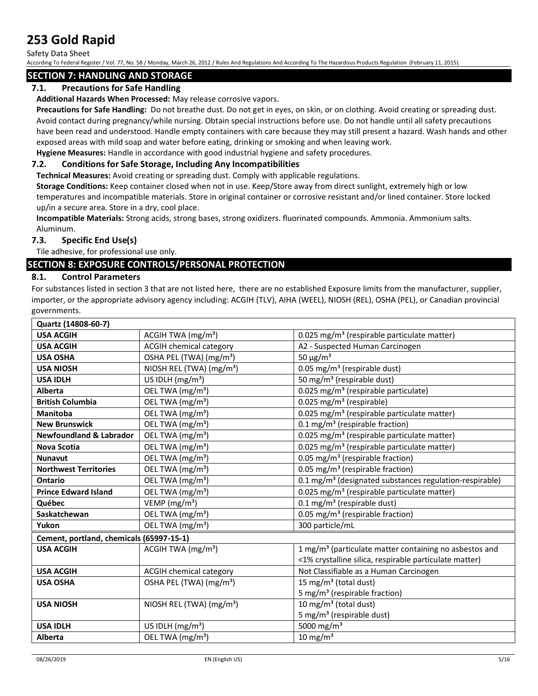Safety Data Sheet

According To Federal Register / Vol. 77, No. 58 / Monday, March 26, 2012 / Rules And Regulations And According To The Hazardous Products Regulation (February 11, 2015).

### **SECTION 7: HANDLING AND STORAGE**

### **7.1. Precautions for Safe Handling**

**Additional Hazards When Processed:** May release corrosive vapors.

**Precautions for Safe Handling:** Do not breathe dust. Do not get in eyes, on skin, or on clothing. Avoid creating or spreading dust. Avoid contact during pregnancy/while nursing. Obtain special instructions before use. Do not handle until all safety precautions have been read and understood. Handle empty containers with care because they may still present a hazard. Wash hands and other exposed areas with mild soap and water before eating, drinking or smoking and when leaving work.

**Hygiene Measures:** Handle in accordance with good industrial hygiene and safety procedures.

#### **7.2. Conditions for Safe Storage, Including Any Incompatibilities**

**Technical Measures:** Avoid creating or spreading dust. Comply with applicable regulations.

**Storage Conditions:** Keep container closed when not in use. Keep/Store away from direct sunlight, extremely high or low temperatures and incompatible materials. Store in original container or corrosive resistant and/or lined container. Store locked up/in a secure area. Store in a dry, cool place.

**Incompatible Materials:** Strong acids, strong bases, strong oxidizers. fluorinated compounds. Ammonia. Ammonium salts. Aluminum.

#### **7.3. Specific End Use(s)**

Tile adhesive, for professional use only.

### **SECTION 8: EXPOSURE CONTROLS/PERSONAL PROTECTION**

### **8.1. Control Parameters**

For substances listed in section 3 that are not listed here, there are no established Exposure limits from the manufacturer, supplier, importer, or the appropriate advisory agency including: ACGIH (TLV), AIHA (WEEL), NIOSH (REL), OSHA (PEL), or Canadian provincial governments.

| Quartz (14808-60-7)                      |                                      |                                                                     |
|------------------------------------------|--------------------------------------|---------------------------------------------------------------------|
| <b>USA ACGIH</b>                         | ACGIH TWA $(mg/m3)$                  | 0.025 mg/m <sup>3</sup> (respirable particulate matter)             |
| <b>USA ACGIH</b>                         | <b>ACGIH chemical category</b>       | A2 - Suspected Human Carcinogen                                     |
| <b>USA OSHA</b>                          | OSHA PEL (TWA) (mg/m <sup>3</sup> )  | 50 $\mu$ g/m <sup>3</sup>                                           |
| <b>USA NIOSH</b>                         | NIOSH REL (TWA) (mg/m <sup>3</sup> ) | 0.05 mg/m <sup>3</sup> (respirable dust)                            |
| <b>USA IDLH</b>                          | US IDLH (mg/m <sup>3</sup> )         | 50 mg/m <sup>3</sup> (respirable dust)                              |
| <b>Alberta</b>                           | OEL TWA (mg/m <sup>3</sup> )         | 0.025 mg/m <sup>3</sup> (respirable particulate)                    |
| <b>British Columbia</b>                  | OEL TWA (mg/m <sup>3</sup> )         | 0.025 mg/m <sup>3</sup> (respirable)                                |
| <b>Manitoba</b>                          | OEL TWA (mg/m <sup>3</sup> )         | 0.025 mg/m <sup>3</sup> (respirable particulate matter)             |
| <b>New Brunswick</b>                     | OEL TWA (mg/m <sup>3</sup> )         | 0.1 mg/m <sup>3</sup> (respirable fraction)                         |
| <b>Newfoundland &amp; Labrador</b>       | OEL TWA (mg/m <sup>3</sup> )         | 0.025 mg/m <sup>3</sup> (respirable particulate matter)             |
| <b>Nova Scotia</b>                       | OEL TWA (mg/m <sup>3</sup> )         | 0.025 mg/m <sup>3</sup> (respirable particulate matter)             |
| <b>Nunavut</b>                           | OEL TWA (mg/m <sup>3</sup> )         | 0.05 mg/m <sup>3</sup> (respirable fraction)                        |
| <b>Northwest Territories</b>             | OEL TWA (mg/m <sup>3</sup> )         | 0.05 mg/m <sup>3</sup> (respirable fraction)                        |
| Ontario                                  | OEL TWA (mg/m <sup>3</sup> )         | 0.1 mg/m <sup>3</sup> (designated substances regulation-respirable) |
| <b>Prince Edward Island</b>              | OEL TWA (mg/m <sup>3</sup> )         | 0.025 mg/m <sup>3</sup> (respirable particulate matter)             |
| Québec                                   | VEMP (mg/m <sup>3</sup> )            | 0.1 mg/m <sup>3</sup> (respirable dust)                             |
| Saskatchewan                             | OEL TWA (mg/m <sup>3</sup> )         | 0.05 mg/m <sup>3</sup> (respirable fraction)                        |
| Yukon                                    | OEL TWA (mg/m <sup>3</sup> )         | 300 particle/mL                                                     |
| Cement, portland, chemicals (65997-15-1) |                                      |                                                                     |
| <b>USA ACGIH</b>                         | ACGIH TWA (mg/m <sup>3</sup> )       | 1 mg/m <sup>3</sup> (particulate matter containing no asbestos and  |
|                                          |                                      | <1% crystalline silica, respirable particulate matter)              |
| <b>USA ACGIH</b>                         | <b>ACGIH chemical category</b>       | Not Classifiable as a Human Carcinogen                              |
| <b>USA OSHA</b>                          | OSHA PEL (TWA) (mg/m <sup>3</sup> )  | 15 mg/m <sup>3</sup> (total dust)                                   |
|                                          |                                      | 5 mg/m <sup>3</sup> (respirable fraction)                           |
| <b>USA NIOSH</b>                         | NIOSH REL (TWA) (mg/m <sup>3</sup> ) | 10 mg/m <sup>3</sup> (total dust)                                   |
|                                          |                                      | 5 mg/m <sup>3</sup> (respirable dust)                               |
| <b>USA IDLH</b>                          | US IDLH $(mg/m3)$                    | 5000 mg/m <sup>3</sup>                                              |
| Alberta                                  | OEL TWA (mg/m <sup>3</sup> )         | $10 \text{ mg/m}^3$                                                 |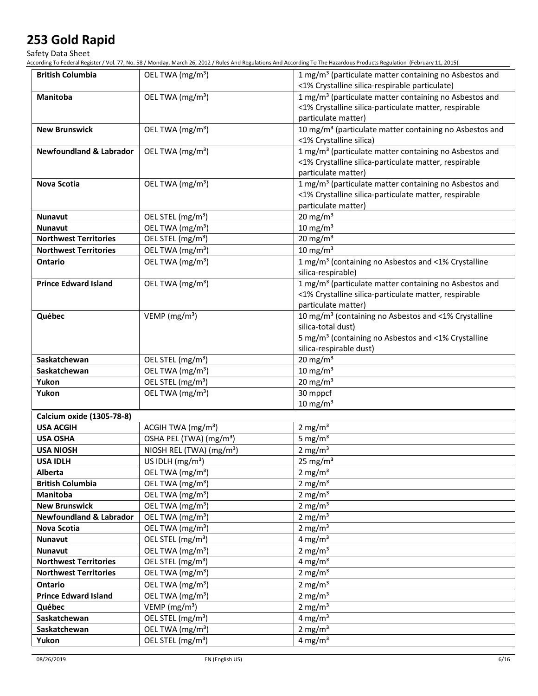Safety Data Sheet

According To Federal Register / Vol. 77, No. 58 / Monday, March 26, 2012 / Rules And Regulations And According To The Hazardous Products Regulation (February 11, 2015).

| <b>British Columbia</b>            | OEL TWA (mg/m <sup>3</sup> )         | 1 mg/m <sup>3</sup> (particulate matter containing no Asbestos and  |
|------------------------------------|--------------------------------------|---------------------------------------------------------------------|
|                                    |                                      | <1% Crystalline silica-respirable particulate)                      |
| Manitoba                           | OEL TWA (mg/m <sup>3</sup> )         | 1 mg/m <sup>3</sup> (particulate matter containing no Asbestos and  |
|                                    |                                      | <1% Crystalline silica-particulate matter, respirable               |
|                                    |                                      | particulate matter)                                                 |
| <b>New Brunswick</b>               | OEL TWA (mg/m <sup>3</sup> )         | 10 mg/m <sup>3</sup> (particulate matter containing no Asbestos and |
|                                    |                                      | <1% Crystalline silica)                                             |
| <b>Newfoundland &amp; Labrador</b> | OEL TWA (mg/m <sup>3</sup> )         | 1 mg/m <sup>3</sup> (particulate matter containing no Asbestos and  |
|                                    |                                      | <1% Crystalline silica-particulate matter, respirable               |
|                                    |                                      | particulate matter)                                                 |
| <b>Nova Scotia</b>                 | OEL TWA (mg/m <sup>3</sup> )         | 1 mg/m <sup>3</sup> (particulate matter containing no Asbestos and  |
|                                    |                                      | <1% Crystalline silica-particulate matter, respirable               |
|                                    |                                      | particulate matter)                                                 |
| <b>Nunavut</b>                     | OEL STEL (mg/m <sup>3</sup> )        | $20 \text{ mg/m}^3$                                                 |
| <b>Nunavut</b>                     | OEL TWA (mg/m <sup>3</sup> )         | $10 \text{ mg/m}^3$                                                 |
| <b>Northwest Territories</b>       | OEL STEL (mg/m <sup>3</sup> )        | $20$ mg/m <sup>3</sup>                                              |
| <b>Northwest Territories</b>       | OEL TWA (mg/m <sup>3</sup> )         | $10 \text{ mg/m}^3$                                                 |
| Ontario                            | OEL TWA (mg/m <sup>3</sup> )         | 1 mg/m <sup>3</sup> (containing no Asbestos and <1% Crystalline     |
|                                    |                                      | silica-respirable)                                                  |
| <b>Prince Edward Island</b>        | OEL TWA (mg/m <sup>3</sup> )         | 1 mg/m <sup>3</sup> (particulate matter containing no Asbestos and  |
|                                    |                                      | <1% Crystalline silica-particulate matter, respirable               |
|                                    |                                      | particulate matter)                                                 |
| Québec                             | VEMP ( $mg/m3$ )                     | 10 mg/m <sup>3</sup> (containing no Asbestos and <1% Crystalline    |
|                                    |                                      | silica-total dust)                                                  |
|                                    |                                      | 5 mg/m <sup>3</sup> (containing no Asbestos and <1% Crystalline     |
|                                    |                                      | silica-respirable dust)                                             |
| Saskatchewan                       | OEL STEL (mg/m <sup>3</sup> )        | 20 mg/m $3$                                                         |
| Saskatchewan                       | OEL TWA (mg/m <sup>3</sup> )         | $10 \text{ mg/m}^3$                                                 |
| Yukon                              | OEL STEL (mg/m <sup>3</sup> )        | 20 mg/m $3$                                                         |
| Yukon                              | OEL TWA (mg/m <sup>3</sup> )         | 30 mppcf<br>$10 \text{ mg/m}^3$                                     |
| Calcium oxide (1305-78-8)          |                                      |                                                                     |
| <b>USA ACGIH</b>                   | ACGIH TWA (mg/m <sup>3</sup> )       | $2 \text{ mg/m}^3$                                                  |
| <b>USA OSHA</b>                    | OSHA PEL (TWA) (mg/m <sup>3</sup> )  | 5 mg/ $m3$                                                          |
| <b>USA NIOSH</b>                   | NIOSH REL (TWA) (mg/m <sup>3</sup> ) | $2 \text{ mg/m}^3$                                                  |
| <b>USA IDLH</b>                    | US IDLH (mg/m <sup>3</sup> )         | $25 \text{ mg/m}^3$                                                 |
| Alberta                            | OEL TWA (mg/m <sup>3</sup> )         | 2 mg/m <sup>3</sup>                                                 |
| <b>British Columbia</b>            | OEL TWA (mg/m <sup>3</sup> )         | 2 mg/m $3$                                                          |
| <b>Manitoba</b>                    | OEL TWA (mg/m <sup>3</sup> )         | 2 mg/m $3$                                                          |
| <b>New Brunswick</b>               | OEL TWA (mg/m <sup>3</sup> )         | 2 mg/m $3$                                                          |
| <b>Newfoundland &amp; Labrador</b> | OEL TWA (mg/m <sup>3</sup> )         | 2 mg/ $m3$                                                          |
| Nova Scotia                        | OEL TWA (mg/m <sup>3</sup> )         | 2 mg/m <sup>3</sup>                                                 |
| Nunavut                            | OEL STEL (mg/m <sup>3</sup> )        | 4 mg/m $3$                                                          |
| <b>Nunavut</b>                     | OEL TWA (mg/m <sup>3</sup> )         | 2 mg/ $m3$                                                          |
| <b>Northwest Territories</b>       | OEL STEL (mg/m <sup>3</sup> )        | 4 mg/m <sup>3</sup>                                                 |
| <b>Northwest Territories</b>       | OEL TWA (mg/m <sup>3</sup> )         | 2 mg/ $m3$                                                          |
| Ontario                            | OEL TWA (mg/m <sup>3</sup> )         | 2 mg/m $3$                                                          |
| <b>Prince Edward Island</b>        | OEL TWA (mg/m <sup>3</sup> )         | 2 mg/m $3$                                                          |
| Québec                             | VEMP ( $mg/m3$ )                     | 2 mg/m $3$                                                          |
| Saskatchewan                       | OEL STEL (mg/m <sup>3</sup> )        | 4 mg/m <sup>3</sup>                                                 |
| Saskatchewan                       | OEL TWA (mg/m <sup>3</sup> )         | 2 mg/ $m3$                                                          |
| Yukon                              | OEL STEL (mg/m <sup>3</sup> )        | 4 mg/m $3$                                                          |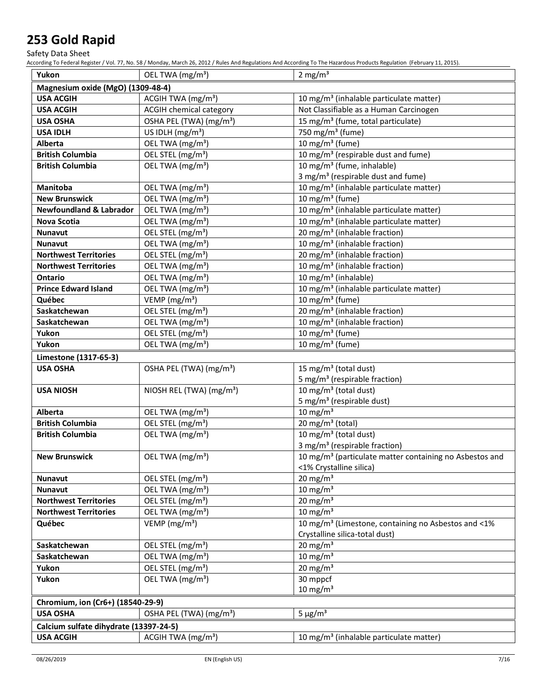Safety Data Sheet

According To Federal Register / Vol. 77, No. 58 / Monday, March 26, 2012 / Rules And Regulations And According To The Hazardous Products Regulation (February 11, 2015).

| Yukon                                  | OEL TWA (mg/m <sup>3</sup> )         | 2 mg/ $m3$                                                          |
|----------------------------------------|--------------------------------------|---------------------------------------------------------------------|
| Magnesium oxide (MgO) (1309-48-4)      |                                      |                                                                     |
| <b>USA ACGIH</b>                       | ACGIH TWA (mg/m <sup>3</sup> )       | 10 mg/m <sup>3</sup> (inhalable particulate matter)                 |
| <b>USA ACGIH</b>                       | <b>ACGIH chemical category</b>       | Not Classifiable as a Human Carcinogen                              |
| <b>USA OSHA</b>                        | OSHA PEL (TWA) (mg/m <sup>3</sup> )  | 15 mg/m <sup>3</sup> (fume, total particulate)                      |
| <b>USA IDLH</b>                        | US IDLH (mg/m <sup>3</sup> )         | 750 mg/m <sup>3</sup> (fume)                                        |
| Alberta                                | OEL TWA (mg/m <sup>3</sup> )         | 10 mg/m <sup>3</sup> (fume)                                         |
| <b>British Columbia</b>                | OEL STEL (mg/m <sup>3</sup> )        | 10 mg/m <sup>3</sup> (respirable dust and fume)                     |
| <b>British Columbia</b>                | OEL TWA (mg/m <sup>3</sup> )         | 10 mg/m <sup>3</sup> (fume, inhalable)                              |
|                                        |                                      | 3 mg/m <sup>3</sup> (respirable dust and fume)                      |
| Manitoba                               | OEL TWA (mg/m <sup>3</sup> )         | 10 mg/m <sup>3</sup> (inhalable particulate matter)                 |
| <b>New Brunswick</b>                   | OEL TWA (mg/m <sup>3</sup> )         | 10 mg/m $3$ (fume)                                                  |
| <b>Newfoundland &amp; Labrador</b>     | OEL TWA (mg/m <sup>3</sup> )         | 10 mg/m <sup>3</sup> (inhalable particulate matter)                 |
| <b>Nova Scotia</b>                     | OEL TWA (mg/m <sup>3</sup> )         | 10 mg/m <sup>3</sup> (inhalable particulate matter)                 |
| <b>Nunavut</b>                         | OEL STEL (mg/m <sup>3</sup> )        | 20 mg/m <sup>3</sup> (inhalable fraction)                           |
| <b>Nunavut</b>                         | OEL TWA (mg/m <sup>3</sup> )         | 10 mg/m <sup>3</sup> (inhalable fraction)                           |
| <b>Northwest Territories</b>           | OEL STEL (mg/m <sup>3</sup> )        | 20 mg/m <sup>3</sup> (inhalable fraction)                           |
| <b>Northwest Territories</b>           | OEL TWA (mg/m <sup>3</sup> )         | 10 mg/m <sup>3</sup> (inhalable fraction)                           |
| <b>Ontario</b>                         | OEL TWA (mg/m <sup>3</sup> )         | 10 mg/m <sup>3</sup> (inhalable)                                    |
| <b>Prince Edward Island</b>            | OEL TWA (mg/m <sup>3</sup> )         | 10 mg/m <sup>3</sup> (inhalable particulate matter)                 |
| Québec                                 | VEMP (mg/m <sup>3</sup> )            | 10 mg/m $3$ (fume)                                                  |
| Saskatchewan                           | OEL STEL (mg/m <sup>3</sup> )        | 20 mg/m <sup>3</sup> (inhalable fraction)                           |
| Saskatchewan                           | OEL TWA (mg/m <sup>3</sup> )         | 10 mg/m <sup>3</sup> (inhalable fraction)                           |
| Yukon                                  | OEL STEL (mg/m <sup>3</sup> )        | 10 mg/m $3$ (fume)                                                  |
| Yukon                                  | OEL TWA (mg/m <sup>3</sup> )         | 10 mg/m $3$ (fume)                                                  |
| Limestone (1317-65-3)                  |                                      |                                                                     |
| <b>USA OSHA</b>                        | OSHA PEL (TWA) (mg/m <sup>3</sup> )  | 15 mg/m <sup>3</sup> (total dust)                                   |
|                                        |                                      | 5 mg/m <sup>3</sup> (respirable fraction)                           |
| <b>USA NIOSH</b>                       | NIOSH REL (TWA) (mg/m <sup>3</sup> ) | 10 mg/m $3$ (total dust)                                            |
|                                        |                                      | 5 mg/m <sup>3</sup> (respirable dust)                               |
| Alberta                                | OEL TWA (mg/m <sup>3</sup> )         | $10 \text{ mg/m}^3$                                                 |
| <b>British Columbia</b>                | OEL STEL (mg/m <sup>3</sup> )        | 20 mg/m $3$ (total)                                                 |
| <b>British Columbia</b>                | OEL TWA (mg/m <sup>3</sup> )         | 10 mg/m <sup>3</sup> (total dust)                                   |
|                                        |                                      | 3 mg/m <sup>3</sup> (respirable fraction)                           |
| <b>New Brunswick</b>                   | OEL TWA (mg/m <sup>3</sup> )         | 10 mg/m <sup>3</sup> (particulate matter containing no Asbestos and |
|                                        |                                      | <1% Crystalline silica)                                             |
| Nunavut                                | OEL STEL (mg/m <sup>3</sup> )        | $20$ mg/m <sup>3</sup>                                              |
| <b>Nunavut</b>                         | OEL TWA (mg/m <sup>3</sup> )         | 10 mg/m $3$                                                         |
| <b>Northwest Territories</b>           | OEL STEL (mg/m <sup>3</sup> )        | 20 mg/m $3$                                                         |
| <b>Northwest Territories</b>           | OEL TWA (mg/m <sup>3</sup> )         | $10 \text{ mg/m}^3$                                                 |
| Québec                                 | VEMP ( $mg/m3$ )                     | 10 mg/m <sup>3</sup> (Limestone, containing no Asbestos and <1%     |
|                                        |                                      | Crystalline silica-total dust)                                      |
| Saskatchewan                           | OEL STEL (mg/m <sup>3</sup> )        | $20 \text{ mg/m}^3$                                                 |
| Saskatchewan                           | OEL TWA (mg/m <sup>3</sup> )         | $10 \text{ mg/m}^3$                                                 |
| Yukon                                  | OEL STEL (mg/m <sup>3</sup> )        | $20$ mg/m <sup>3</sup>                                              |
| Yukon                                  | OEL TWA (mg/m <sup>3</sup> )         | $30$ mppcf                                                          |
|                                        |                                      | $10$ mg/m <sup>3</sup>                                              |
| Chromium, ion (Cr6+) (18540-29-9)      |                                      |                                                                     |
| <b>USA OSHA</b>                        | OSHA PEL (TWA) (mg/m <sup>3</sup> )  | $5 \mu g/m^3$                                                       |
| Calcium sulfate dihydrate (13397-24-5) |                                      |                                                                     |
| <b>USA ACGIH</b>                       | ACGIH TWA (mg/m <sup>3</sup> )       | 10 mg/m <sup>3</sup> (inhalable particulate matter)                 |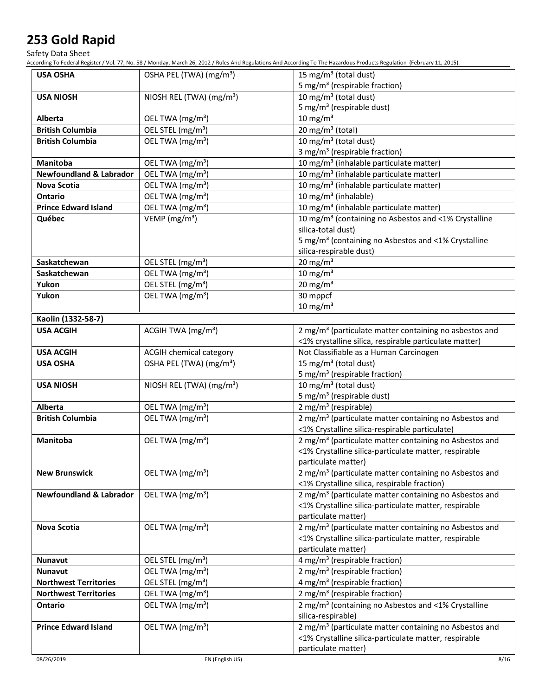Safety Data Sheet

According To Federal Register / Vol. 77, No. 58 / Monday, March 26, 2012 / Rules And Regulations And According To The Hazardous Products Regulation (February 11, 2015).

| <b>USA OSHA</b>                    | OSHA PEL (TWA) (mg/m <sup>3</sup> )  | 15 mg/m <sup>3</sup> (total dust)                                  |
|------------------------------------|--------------------------------------|--------------------------------------------------------------------|
|                                    |                                      | 5 mg/m <sup>3</sup> (respirable fraction)                          |
| <b>USA NIOSH</b>                   | NIOSH REL (TWA) (mg/m <sup>3</sup> ) | 10 mg/m <sup>3</sup> (total dust)                                  |
|                                    |                                      | 5 mg/m <sup>3</sup> (respirable dust)                              |
| <b>Alberta</b>                     | OEL TWA (mg/m <sup>3</sup> )         | $10 \text{ mg/m}^3$                                                |
| <b>British Columbia</b>            | OEL STEL (mg/m <sup>3</sup> )        | 20 mg/m <sup>3</sup> (total)                                       |
| <b>British Columbia</b>            | OEL TWA (mg/m <sup>3</sup> )         | 10 mg/m <sup>3</sup> (total dust)                                  |
|                                    |                                      | 3 mg/m <sup>3</sup> (respirable fraction)                          |
| Manitoba                           | OEL TWA (mg/m <sup>3</sup> )         | 10 mg/m <sup>3</sup> (inhalable particulate matter)                |
| <b>Newfoundland &amp; Labrador</b> | OEL TWA (mg/m <sup>3</sup> )         | 10 mg/m <sup>3</sup> (inhalable particulate matter)                |
| <b>Nova Scotia</b>                 | OEL TWA (mg/m <sup>3</sup> )         | 10 mg/m <sup>3</sup> (inhalable particulate matter)                |
| Ontario                            | OEL TWA (mg/m <sup>3</sup> )         | 10 mg/m <sup>3</sup> (inhalable)                                   |
| <b>Prince Edward Island</b>        | OEL TWA (mg/m <sup>3</sup> )         | 10 mg/m <sup>3</sup> (inhalable particulate matter)                |
| Québec                             | VEMP ( $mg/m3$ )                     | 10 mg/m <sup>3</sup> (containing no Asbestos and <1% Crystalline   |
|                                    |                                      | silica-total dust)                                                 |
|                                    |                                      | 5 mg/m <sup>3</sup> (containing no Asbestos and <1% Crystalline    |
|                                    |                                      | silica-respirable dust)                                            |
| Saskatchewan                       | OEL STEL (mg/m <sup>3</sup> )        | $20$ mg/m <sup>3</sup>                                             |
| Saskatchewan                       | OEL TWA (mg/m <sup>3</sup> )         | $10 \text{ mg/m}^3$                                                |
| Yukon                              | OEL STEL (mg/m <sup>3</sup> )        | $20$ mg/m <sup>3</sup>                                             |
| Yukon                              | OEL TWA (mg/m <sup>3</sup> )         | 30 mppcf                                                           |
|                                    |                                      | $10 \text{ mg/m}^3$                                                |
| Kaolin (1332-58-7)                 |                                      |                                                                    |
| <b>USA ACGIH</b>                   | ACGIH TWA (mg/m <sup>3</sup> )       | 2 mg/m <sup>3</sup> (particulate matter containing no asbestos and |
|                                    |                                      | <1% crystalline silica, respirable particulate matter)             |
| <b>USA ACGIH</b>                   | ACGIH chemical category              | Not Classifiable as a Human Carcinogen                             |
| <b>USA OSHA</b>                    | OSHA PEL (TWA) (mg/m <sup>3</sup> )  | 15 mg/m <sup>3</sup> (total dust)                                  |
|                                    |                                      | 5 mg/m <sup>3</sup> (respirable fraction)                          |
| <b>USA NIOSH</b>                   | NIOSH REL (TWA) (mg/m <sup>3</sup> ) | $\overline{10}$ mg/m <sup>3</sup> (total dust)                     |
|                                    |                                      | 5 mg/m <sup>3</sup> (respirable dust)                              |
| <b>Alberta</b>                     | OEL TWA (mg/m <sup>3</sup> )         | 2 mg/m <sup>3</sup> (respirable)                                   |
| <b>British Columbia</b>            | OEL TWA (mg/m <sup>3</sup> )         | 2 mg/m <sup>3</sup> (particulate matter containing no Asbestos and |
|                                    |                                      | <1% Crystalline silica-respirable particulate)                     |
| <b>Manitoba</b>                    | OEL TWA (mg/m <sup>3</sup> )         | 2 mg/m <sup>3</sup> (particulate matter containing no Asbestos and |
|                                    |                                      | <1% Crystalline silica-particulate matter, respirable              |
|                                    |                                      | particulate matter)                                                |
| <b>New Brunswick</b>               | OEL TWA (mg/m <sup>3</sup> )         | 2 mg/m <sup>3</sup> (particulate matter containing no Asbestos and |
|                                    |                                      | <1% Crystalline silica, respirable fraction)                       |
| <b>Newfoundland &amp; Labrador</b> | OEL TWA (mg/m <sup>3</sup> )         | 2 mg/m <sup>3</sup> (particulate matter containing no Asbestos and |
|                                    |                                      | <1% Crystalline silica-particulate matter, respirable              |
|                                    |                                      | particulate matter)                                                |
| Nova Scotia                        | OEL TWA (mg/m <sup>3</sup> )         | 2 mg/m <sup>3</sup> (particulate matter containing no Asbestos and |
|                                    |                                      | <1% Crystalline silica-particulate matter, respirable              |
|                                    |                                      | particulate matter)                                                |
| <b>Nunavut</b>                     | OEL STEL (mg/m <sup>3</sup> )        | 4 mg/m <sup>3</sup> (respirable fraction)                          |
| <b>Nunavut</b>                     | OEL TWA (mg/m <sup>3</sup> )         | 2 mg/m <sup>3</sup> (respirable fraction)                          |
| <b>Northwest Territories</b>       | OEL STEL (mg/m <sup>3</sup> )        | 4 mg/m <sup>3</sup> (respirable fraction)                          |
| <b>Northwest Territories</b>       | OEL TWA (mg/m <sup>3</sup> )         | 2 mg/m <sup>3</sup> (respirable fraction)                          |
| Ontario                            | OEL TWA (mg/m <sup>3</sup> )         | 2 mg/m <sup>3</sup> (containing no Asbestos and <1% Crystalline    |
|                                    |                                      | silica-respirable)                                                 |
| <b>Prince Edward Island</b>        | OEL TWA (mg/m <sup>3</sup> )         | 2 mg/m <sup>3</sup> (particulate matter containing no Asbestos and |
|                                    |                                      | <1% Crystalline silica-particulate matter, respirable              |
|                                    |                                      | particulate matter)                                                |
|                                    |                                      |                                                                    |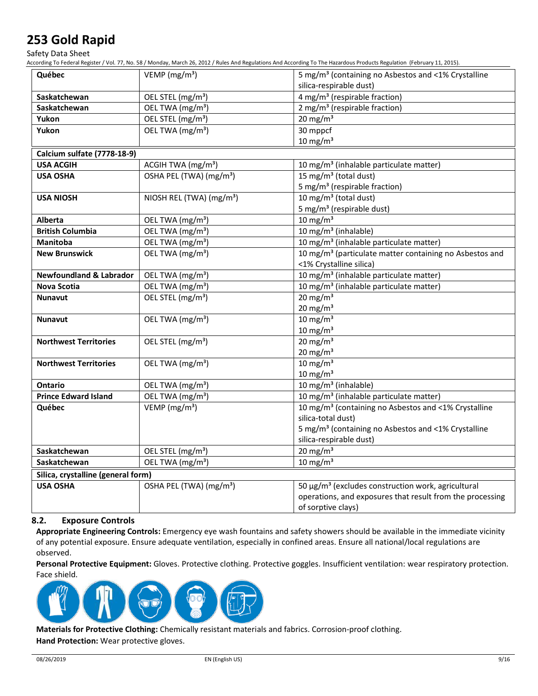Safety Data Sheet

According To Federal Register / Vol. 77, No. 58 / Monday, March 26, 2012 / Rules And Regulations And According To The Hazardous Products Regulation (February 11, 2015).

| Québec                             | VEMP ( $mg/m3$ )                     | 5 mg/m <sup>3</sup> (containing no Asbestos and <1% Crystalline     |
|------------------------------------|--------------------------------------|---------------------------------------------------------------------|
|                                    |                                      | silica-respirable dust)                                             |
| Saskatchewan                       | OEL STEL (mg/m <sup>3</sup> )        | 4 mg/m <sup>3</sup> (respirable fraction)                           |
| Saskatchewan                       | OEL TWA (mg/m <sup>3</sup> )         | 2 mg/m <sup>3</sup> (respirable fraction)                           |
| Yukon                              | OEL STEL (mg/m <sup>3</sup> )        | 20 mg/m $3$                                                         |
| Yukon                              | OEL TWA (mg/m <sup>3</sup> )         | 30 mppcf                                                            |
|                                    |                                      | $10 \text{ mg/m}^3$                                                 |
| Calcium sulfate (7778-18-9)        |                                      |                                                                     |
| <b>USA ACGIH</b>                   | ACGIH TWA (mg/m <sup>3</sup> )       | 10 mg/m <sup>3</sup> (inhalable particulate matter)                 |
| <b>USA OSHA</b>                    | OSHA PEL (TWA) (mg/m <sup>3</sup> )  | 15 mg/m <sup>3</sup> (total dust)                                   |
|                                    |                                      | 5 mg/m <sup>3</sup> (respirable fraction)                           |
| <b>USA NIOSH</b>                   | NIOSH REL (TWA) (mg/m <sup>3</sup> ) | 10 mg/m <sup>3</sup> (total dust)                                   |
|                                    |                                      | 5 mg/m <sup>3</sup> (respirable dust)                               |
| <b>Alberta</b>                     | OEL TWA (mg/m <sup>3</sup> )         | $10$ mg/m <sup>3</sup>                                              |
| <b>British Columbia</b>            | OEL TWA (mg/m <sup>3</sup> )         | 10 mg/m <sup>3</sup> (inhalable)                                    |
| <b>Manitoba</b>                    | OEL TWA (mg/m <sup>3</sup> )         | 10 mg/m <sup>3</sup> (inhalable particulate matter)                 |
| <b>New Brunswick</b>               | OEL TWA (mg/m <sup>3</sup> )         | 10 mg/m <sup>3</sup> (particulate matter containing no Asbestos and |
|                                    |                                      | <1% Crystalline silica)                                             |
| <b>Newfoundland &amp; Labrador</b> | OEL TWA (mg/m <sup>3</sup> )         | 10 mg/m <sup>3</sup> (inhalable particulate matter)                 |
| <b>Nova Scotia</b>                 | OEL TWA (mg/m <sup>3</sup> )         | 10 mg/m <sup>3</sup> (inhalable particulate matter)                 |
| <b>Nunavut</b>                     | OEL STEL (mg/m <sup>3</sup> )        | $20 \text{ mg/m}^3$                                                 |
|                                    |                                      | $20$ mg/m <sup>3</sup>                                              |
| <b>Nunavut</b>                     | OEL TWA (mg/m <sup>3</sup> )         | $10 \text{ mg/m}^3$                                                 |
|                                    |                                      | $10$ mg/m <sup>3</sup>                                              |
| <b>Northwest Territories</b>       | OEL STEL (mg/m <sup>3</sup> )        | $20 \text{ mg/m}^3$                                                 |
|                                    |                                      | $20 \text{ mg/m}^3$                                                 |
| <b>Northwest Territories</b>       | OEL TWA (mg/m <sup>3</sup> )         | $10 \text{ mg/m}^3$                                                 |
|                                    |                                      | $10 \text{ mg/m}^3$                                                 |
| Ontario                            | OEL TWA (mg/m <sup>3</sup> )         | 10 mg/m <sup>3</sup> (inhalable)                                    |
| <b>Prince Edward Island</b>        | OEL TWA (mg/m <sup>3</sup> )         | 10 mg/m <sup>3</sup> (inhalable particulate matter)                 |
| Québec                             | VEMP ( $mg/m3$ )                     | 10 mg/m <sup>3</sup> (containing no Asbestos and <1% Crystalline    |
|                                    |                                      | silica-total dust)                                                  |
|                                    |                                      | 5 mg/m <sup>3</sup> (containing no Asbestos and <1% Crystalline     |
|                                    |                                      | silica-respirable dust)                                             |
| Saskatchewan                       | OEL STEL (mg/m <sup>3</sup> )        | $20 \text{ mg/m}^3$                                                 |
| Saskatchewan                       | OEL TWA (mg/m <sup>3</sup> )         | $10 \text{ mg/m}^3$                                                 |
| Silica, crystalline (general form) |                                      |                                                                     |
| <b>USA OSHA</b>                    | OSHA PEL (TWA) (mg/m <sup>3</sup> )  | 50 µg/m <sup>3</sup> (excludes construction work, agricultural      |
|                                    |                                      | operations, and exposures that result from the processing           |
|                                    |                                      | of sorptive clays)                                                  |

#### **8.2. Exposure Controls**

**Appropriate Engineering Controls:** Emergency eye wash fountains and safety showers should be available in the immediate vicinity of any potential exposure. Ensure adequate ventilation, especially in confined areas. Ensure all national/local regulations are observed.

**Personal Protective Equipment:** Gloves. Protective clothing. Protective goggles. Insufficient ventilation: wear respiratory protection. Face shield.



**Materials for Protective Clothing:** Chemically resistant materials and fabrics. Corrosion-proof clothing.

**Hand Protection:** Wear protective gloves.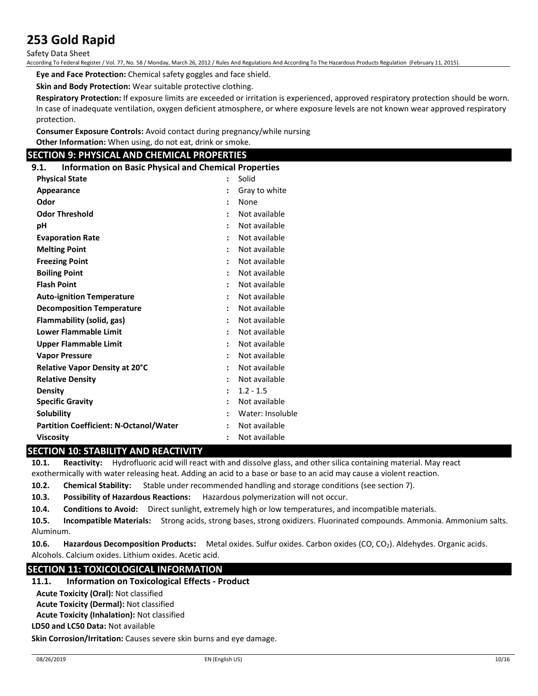Safety Data Sheet

According To Federal Register / Vol. 77, No. 58 / Monday, March 26, 2012 / Rules And Regulations And According To The Hazardous Products Regulation (February 11, 2015).

**Eye and Face Protection:** Chemical safety goggles and face shield.

**Skin and Body Protection:** Wear suitable protective clothing.

**Respiratory Protection:** If exposure limits are exceeded or irritation is experienced, approved respiratory protection should be worn. In case of inadequate ventilation, oxygen deficient atmosphere, or where exposure levels are not known wear approved respiratory protection.

**Consumer Exposure Controls:** Avoid contact during pregnancy/while nursing **Other Information:** When using, do not eat, drink or smoke.

### **SECTION 9: PHYSICAL AND CHEMICAL PROPERTIES**

**9.1. Information on Basic Physical and Chemical Properties**

| <b>Physical State</b>                         | Solid                                 |
|-----------------------------------------------|---------------------------------------|
| Appearance                                    | Gray to white                         |
| Odor                                          | None                                  |
| <b>Odor Threshold</b>                         | Not available                         |
| рH                                            | Not available                         |
| <b>Evaporation Rate</b>                       | Not available                         |
| <b>Melting Point</b>                          | Not available<br>$\ddot{\phantom{0}}$ |
| <b>Freezing Point</b>                         | Not available                         |
| <b>Boiling Point</b>                          | Not available                         |
| <b>Flash Point</b>                            | Not available                         |
| <b>Auto-ignition Temperature</b>              | Not available<br>$\ddot{\phantom{0}}$ |
| <b>Decomposition Temperature</b>              | Not available                         |
| Flammability (solid, gas)                     | Not available                         |
| Lower Flammable Limit                         | Not available                         |
| <b>Upper Flammable Limit</b>                  | Not available<br>$\ddot{\phantom{a}}$ |
| <b>Vapor Pressure</b>                         | Not available                         |
| Relative Vapor Density at 20°C                | Not available                         |
| <b>Relative Density</b>                       | Not available                         |
| <b>Density</b>                                | $1.2 - 1.5$<br>$\ddot{\phantom{a}}$   |
| <b>Specific Gravity</b>                       | Not available<br>$\ddot{\phantom{a}}$ |
| <b>Solubility</b>                             | Water: Insoluble                      |
| <b>Partition Coefficient: N-Octanol/Water</b> | Not available                         |
| <b>Viscosity</b>                              | Not available                         |

## **SECTION 10: STABILITY AND REACTIVITY**

**10.1. Reactivity:** Hydrofluoric acid will react with and dissolve glass, and other silica containing material. May react exothermically with water releasing heat. Adding an acid to a base or base to an acid may cause a violent reaction.

**10.2. Chemical Stability:** Stable under recommended handling and storage conditions (see section 7).

**10.3. Possibility of Hazardous Reactions:** Hazardous polymerization will not occur.

**10.4. Conditions to Avoid:** Direct sunlight, extremely high or low temperatures, and incompatible materials.

**10.5. Incompatible Materials:** Strong acids, strong bases, strong oxidizers. Fluorinated compounds. Ammonia. Ammonium salts. Aluminum.

**10.6. Hazardous Decomposition Products:** Metal oxides. Sulfur oxides. Carbon oxides (CO, CO2). Aldehydes. Organic acids. Alcohols. Calcium oxides. Lithium oxides. Acetic acid.

### **SECTION 11: TOXICOLOGICAL INFORMATION**

## **11.1. Information on Toxicological Effects - Product**

**Acute Toxicity (Oral):** Not classified

**Acute Toxicity (Dermal):** Not classified

**Acute Toxicity (Inhalation):** Not classified

**LD50 and LC50 Data:** Not available

**Skin Corrosion/Irritation:** Causes severe skin burns and eye damage.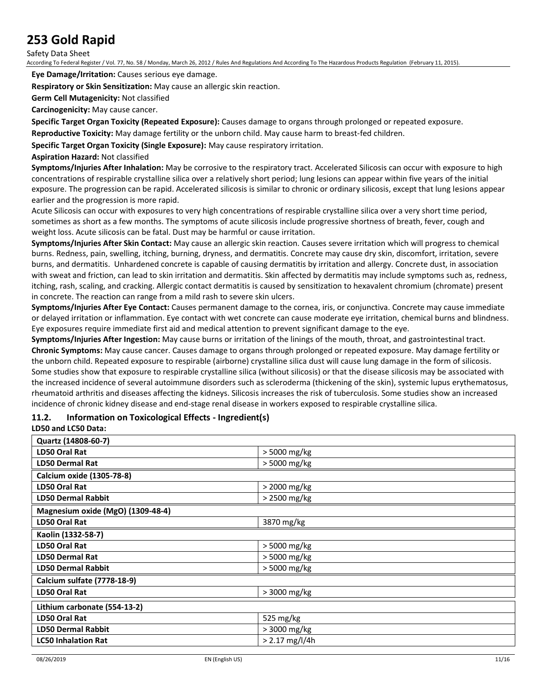Safety Data Sheet

According To Federal Register / Vol. 77, No. 58 / Monday, March 26, 2012 / Rules And Regulations And According To The Hazardous Products Regulation (February 11, 2015).

**Eye Damage/Irritation:** Causes serious eye damage.

**Respiratory or Skin Sensitization:** May cause an allergic skin reaction.

**Germ Cell Mutagenicity:** Not classified

**Carcinogenicity:** May cause cancer.

**Specific Target Organ Toxicity (Repeated Exposure):** Causes damage to organs through prolonged or repeated exposure.

**Reproductive Toxicity:** May damage fertility or the unborn child. May cause harm to breast-fed children.

**Specific Target Organ Toxicity (Single Exposure):** May cause respiratory irritation.

#### **Aspiration Hazard:** Not classified

**Symptoms/Injuries After Inhalation:** May be corrosive to the respiratory tract. Accelerated Silicosis can occur with exposure to high concentrations of respirable crystalline silica over a relatively short period; lung lesions can appear within five years of the initial exposure. The progression can be rapid. Accelerated silicosis is similar to chronic or ordinary silicosis, except that lung lesions appear earlier and the progression is more rapid.

Acute Silicosis can occur with exposures to very high concentrations of respirable crystalline silica over a very short time period, sometimes as short as a few months. The symptoms of acute silicosis include progressive shortness of breath, fever, cough and weight loss. Acute silicosis can be fatal. Dust may be harmful or cause irritation.

**Symptoms/Injuries After Skin Contact:** May cause an allergic skin reaction. Causes severe irritation which will progress to chemical burns. Redness, pain, swelling, itching, burning, dryness, and dermatitis. Concrete may cause dry skin, discomfort, irritation, severe burns, and dermatitis. Unhardened concrete is capable of causing dermatitis by irritation and allergy. Concrete dust, in association with sweat and friction, can lead to skin irritation and dermatitis. Skin affected by dermatitis may include symptoms such as, redness, itching, rash, scaling, and cracking. Allergic contact dermatitis is caused by sensitization to hexavalent chromium (chromate) present in concrete. The reaction can range from a mild rash to severe skin ulcers.

**Symptoms/Injuries After Eye Contact:** Causes permanent damage to the cornea, iris, or conjunctiva. Concrete may cause immediate or delayed irritation or inflammation. Eye contact with wet concrete can cause moderate eye irritation, chemical burns and blindness. Eye exposures require immediate first aid and medical attention to prevent significant damage to the eye.

**Symptoms/Injuries After Ingestion:** May cause burns or irritation of the linings of the mouth, throat, and gastrointestinal tract. **Chronic Symptoms:** May cause cancer. Causes damage to organs through prolonged or repeated exposure. May damage fertility or the unborn child. Repeated exposure to respirable (airborne) crystalline silica dust will cause lung damage in the form of silicosis. Some studies show that exposure to respirable crystalline silica (without silicosis) or that the disease silicosis may be associated with the increased incidence of several autoimmune disorders such as scleroderma (thickening of the skin), systemic lupus erythematosus, rheumatoid arthritis and diseases affecting the kidneys. Silicosis increases the risk of tuberculosis. Some studies show an increased incidence of chronic kidney disease and end-stage renal disease in workers exposed to respirable crystalline silica.

## **11.2. Information on Toxicological Effects - Ingredient(s)**

### **LD50 and LC50 Data:**

| Quartz (14808-60-7)               |                  |
|-----------------------------------|------------------|
| <b>LD50 Oral Rat</b>              | > 5000 mg/kg     |
| <b>LD50 Dermal Rat</b>            | > 5000 mg/kg     |
| Calcium oxide (1305-78-8)         |                  |
| LD50 Oral Rat                     | > 2000 mg/kg     |
| <b>LD50 Dermal Rabbit</b>         | > 2500 mg/kg     |
| Magnesium oxide (MgO) (1309-48-4) |                  |
| LD50 Oral Rat                     | 3870 mg/kg       |
| Kaolin (1332-58-7)                |                  |
| LD50 Oral Rat                     | > 5000 mg/kg     |
| <b>LD50 Dermal Rat</b>            | > 5000 mg/kg     |
| <b>LD50 Dermal Rabbit</b>         | > 5000 mg/kg     |
| Calcium sulfate (7778-18-9)       |                  |
| <b>LD50 Oral Rat</b>              | > 3000 mg/kg     |
| Lithium carbonate (554-13-2)      |                  |
| LD50 Oral Rat                     | 525 mg/kg        |
| <b>LD50 Dermal Rabbit</b>         | > 3000 mg/kg     |
| <b>LC50 Inhalation Rat</b>        | $> 2.17$ mg/l/4h |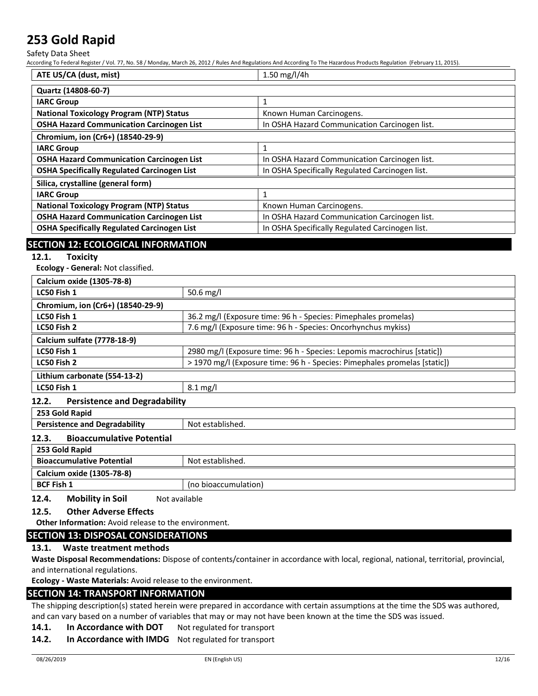Safety Data Sheet

According To Federal Register / Vol. 77, No. 58 / Monday, March 26, 2012 / Rules And Regulations And According To The Hazardous Products Regulation (February 11, 2015).

| ATE US/CA (dust, mist)                             | 1.50 mg/l/4h                                    |
|----------------------------------------------------|-------------------------------------------------|
| Quartz (14808-60-7)                                |                                                 |
| <b>IARC Group</b>                                  |                                                 |
| <b>National Toxicology Program (NTP) Status</b>    | Known Human Carcinogens.                        |
| <b>OSHA Hazard Communication Carcinogen List</b>   | In OSHA Hazard Communication Carcinogen list.   |
| Chromium, ion (Cr6+) (18540-29-9)                  |                                                 |
| <b>IARC Group</b>                                  |                                                 |
| <b>OSHA Hazard Communication Carcinogen List</b>   | In OSHA Hazard Communication Carcinogen list.   |
| <b>OSHA Specifically Regulated Carcinogen List</b> | In OSHA Specifically Regulated Carcinogen list. |
| Silica, crystalline (general form)                 |                                                 |
| <b>IARC Group</b>                                  |                                                 |
| <b>National Toxicology Program (NTP) Status</b>    | Known Human Carcinogens.                        |
| <b>OSHA Hazard Communication Carcinogen List</b>   | In OSHA Hazard Communication Carcinogen list.   |
| <b>OSHA Specifically Regulated Carcinogen List</b> | In OSHA Specifically Regulated Carcinogen list. |

## **SECTION 12: ECOLOGICAL INFORMATION**

#### **12.1. Toxicity**

**Ecology - General:** Not classified.

| Calcium oxide (1305-78-8)         |                                                                           |
|-----------------------------------|---------------------------------------------------------------------------|
| LC50 Fish 1                       | 50.6 mg/l                                                                 |
| Chromium, ion (Cr6+) (18540-29-9) |                                                                           |
| LC50 Fish 1                       | 36.2 mg/l (Exposure time: 96 h - Species: Pimephales promelas)            |
| LC50 Fish 2                       | 7.6 mg/l (Exposure time: 96 h - Species: Oncorhynchus mykiss)             |
| Calcium sulfate (7778-18-9)       |                                                                           |
| LC50 Fish 1                       | 2980 mg/l (Exposure time: 96 h - Species: Lepomis macrochirus [static])   |
| LC50 Fish 2                       | > 1970 mg/l (Exposure time: 96 h - Species: Pimephales promelas [static]) |
| Lithium carbonate (554-13-2)      |                                                                           |
| LC50 Fish 1                       | $8.1 \text{ mg/l}$                                                        |
|                                   |                                                                           |

#### **12.2. Persistence and Degradability**

| 253 Gold Rapid                                       |                      |  |
|------------------------------------------------------|----------------------|--|
| <b>Persistence and Degradability</b>                 | Not established.     |  |
| <b>Bioaccumulative Potential</b><br>12.3.            |                      |  |
| 253 Gold Rapid                                       |                      |  |
| <b>Bioaccumulative Potential</b><br>Not established. |                      |  |
| Calcium oxide (1305-78-8)                            |                      |  |
| <b>BCF Fish 1</b>                                    | (no bioaccumulation) |  |

**12.4.** Mobility in Soil Not available

#### **12.5. Other Adverse Effects**

**Other Information:** Avoid release to the environment.

### **SECTION 13: DISPOSAL CONSIDERATIONS**

**13.1. Waste treatment methods**

**Waste Disposal Recommendations:** Dispose of contents/container in accordance with local, regional, national, territorial, provincial, and international regulations.

**Ecology - Waste Materials:** Avoid release to the environment.

### **SECTION 14: TRANSPORT INFORMATION**

The shipping description(s) stated herein were prepared in accordance with certain assumptions at the time the SDS was authored, and can vary based on a number of variables that may or may not have been known at the time the SDS was issued.

## **14.1. In Accordance with DOT** Not regulated for transport

**14.2. In Accordance with IMDG** Not regulated for transport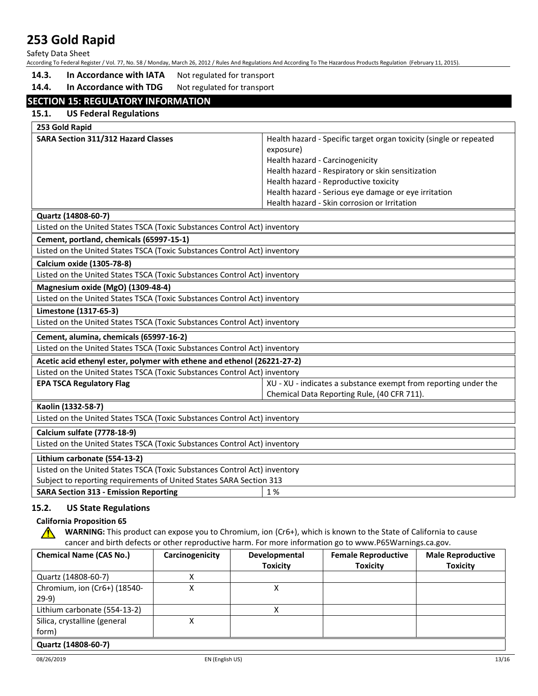Safety Data Sheet

According To Federal Register / Vol. 77, No. 58 / Monday, March 26, 2012 / Rules And Regulations And According To The Hazardous Products Regulation (February 11, 2015).

14.3. In Accordance with IATA Not regulated for transport

14.4. In Accordance with TDG Not regulated for transport

## **SECTION 15: REGULATORY INFORMATION**

| ECTION 15: KEGULATOKY INFORMATION                                         |                                                                    |
|---------------------------------------------------------------------------|--------------------------------------------------------------------|
| 15.1.<br><b>US Federal Regulations</b>                                    |                                                                    |
| 253 Gold Rapid                                                            |                                                                    |
| <b>SARA Section 311/312 Hazard Classes</b>                                | Health hazard - Specific target organ toxicity (single or repeated |
|                                                                           | exposure)                                                          |
|                                                                           | Health hazard - Carcinogenicity                                    |
|                                                                           | Health hazard - Respiratory or skin sensitization                  |
|                                                                           | Health hazard - Reproductive toxicity                              |
|                                                                           | Health hazard - Serious eye damage or eye irritation               |
|                                                                           | Health hazard - Skin corrosion or Irritation                       |
| Quartz (14808-60-7)                                                       |                                                                    |
| Listed on the United States TSCA (Toxic Substances Control Act) inventory |                                                                    |
| Cement, portland, chemicals (65997-15-1)                                  |                                                                    |
| Listed on the United States TSCA (Toxic Substances Control Act) inventory |                                                                    |
| Calcium oxide (1305-78-8)                                                 |                                                                    |
| Listed on the United States TSCA (Toxic Substances Control Act) inventory |                                                                    |
| Magnesium oxide (MgO) (1309-48-4)                                         |                                                                    |
| Listed on the United States TSCA (Toxic Substances Control Act) inventory |                                                                    |
| Limestone (1317-65-3)                                                     |                                                                    |
| Listed on the United States TSCA (Toxic Substances Control Act) inventory |                                                                    |
| Cement, alumina, chemicals (65997-16-2)                                   |                                                                    |
| Listed on the United States TSCA (Toxic Substances Control Act) inventory |                                                                    |
| Acetic acid ethenyl ester, polymer with ethene and ethenol (26221-27-2)   |                                                                    |
| Listed on the United States TSCA (Toxic Substances Control Act) inventory |                                                                    |
| <b>EPA TSCA Regulatory Flag</b>                                           | XU - XU - indicates a substance exempt from reporting under the    |
|                                                                           | Chemical Data Reporting Rule, (40 CFR 711).                        |
| Kaolin (1332-58-7)                                                        |                                                                    |
| Listed on the United States TSCA (Toxic Substances Control Act) inventory |                                                                    |
| Calcium sulfate (7778-18-9)                                               |                                                                    |
| Listed on the United States TSCA (Toxic Substances Control Act) inventory |                                                                    |
| Lithium carbonate (554-13-2)                                              |                                                                    |
| Listed on the United States TSCA (Toxic Substances Control Act) inventory |                                                                    |
| Subject to reporting requirements of United States SARA Section 313       |                                                                    |
| <b>SARA Section 313 - Emission Reporting</b>                              | 1%                                                                 |
|                                                                           |                                                                    |

### **15.2. US State Regulations**

#### **California Proposition 65**

**WARNING:** This product can expose you to Chromium, ion (Cr6+), which is known to the State of California to cause  $\bigwedge$ cancer and birth defects or other reproductive harm. For more information go to www.P65Warnings.ca.gov.

| <b>Chemical Name (CAS No.)</b> | Carcinogenicity | Developmental   | <b>Female Reproductive</b> | <b>Male Reproductive</b> |
|--------------------------------|-----------------|-----------------|----------------------------|--------------------------|
|                                |                 | <b>Toxicity</b> | <b>Toxicity</b>            | <b>Toxicity</b>          |
| Quartz (14808-60-7)            |                 |                 |                            |                          |
| Chromium, ion (Cr6+) (18540-   |                 |                 |                            |                          |
| $29-9)$                        |                 |                 |                            |                          |
| Lithium carbonate (554-13-2)   |                 | Χ               |                            |                          |
| Silica, crystalline (general   |                 |                 |                            |                          |
| form)                          |                 |                 |                            |                          |
| Quartz (14808-60-7)            |                 |                 |                            |                          |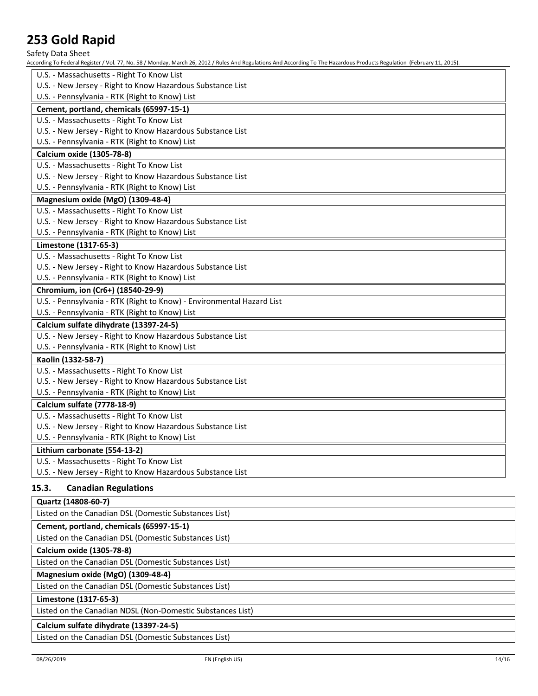Safety Data Sheet

According To Federal Register / Vol. 77, No. 58 / Monday, March 26, 2012 / Rules And Regulations And According To The Hazardous Products Regulation (February 11, 2015).

| U.S. - Massachusetts - Right To Know List                             |
|-----------------------------------------------------------------------|
| U.S. - New Jersey - Right to Know Hazardous Substance List            |
| U.S. - Pennsylvania - RTK (Right to Know) List                        |
| Cement, portland, chemicals (65997-15-1)                              |
| U.S. - Massachusetts - Right To Know List                             |
| U.S. - New Jersey - Right to Know Hazardous Substance List            |
| U.S. - Pennsylvania - RTK (Right to Know) List                        |
| Calcium oxide (1305-78-8)                                             |
| U.S. - Massachusetts - Right To Know List                             |
| U.S. - New Jersey - Right to Know Hazardous Substance List            |
| U.S. - Pennsylvania - RTK (Right to Know) List                        |
| Magnesium oxide (MgO) (1309-48-4)                                     |
| U.S. - Massachusetts - Right To Know List                             |
| U.S. - New Jersey - Right to Know Hazardous Substance List            |
| U.S. - Pennsylvania - RTK (Right to Know) List                        |
| Limestone (1317-65-3)                                                 |
| U.S. - Massachusetts - Right To Know List                             |
| U.S. - New Jersey - Right to Know Hazardous Substance List            |
| U.S. - Pennsylvania - RTK (Right to Know) List                        |
| Chromium, ion (Cr6+) (18540-29-9)                                     |
| U.S. - Pennsylvania - RTK (Right to Know) - Environmental Hazard List |
| U.S. - Pennsylvania - RTK (Right to Know) List                        |
| Calcium sulfate dihydrate (13397-24-5)                                |
| U.S. - New Jersey - Right to Know Hazardous Substance List            |
| U.S. - Pennsylvania - RTK (Right to Know) List                        |
| Kaolin (1332-58-7)                                                    |
| U.S. - Massachusetts - Right To Know List                             |
| U.S. - New Jersey - Right to Know Hazardous Substance List            |
| U.S. - Pennsylvania - RTK (Right to Know) List                        |
| Calcium sulfate (7778-18-9)                                           |
| U.S. - Massachusetts - Right To Know List                             |
| U.S. - New Jersey - Right to Know Hazardous Substance List            |
| U.S. - Pennsylvania - RTK (Right to Know) List                        |
| Lithium carbonate (554-13-2)                                          |
| U.S. - Massachusetts - Right To Know List                             |
| U.S. - New Jersey - Right to Know Hazardous Substance List            |

### **15.3. Canadian Regulations**

| Quartz (14808-60-7)                                        |
|------------------------------------------------------------|
| Listed on the Canadian DSL (Domestic Substances List)      |
| Cement, portland, chemicals (65997-15-1)                   |
| Listed on the Canadian DSL (Domestic Substances List)      |
| Calcium oxide (1305-78-8)                                  |
| Listed on the Canadian DSL (Domestic Substances List)      |
| Magnesium oxide (MgO) (1309-48-4)                          |
| Listed on the Canadian DSL (Domestic Substances List)      |
| Limestone (1317-65-3)                                      |
| Listed on the Canadian NDSL (Non-Domestic Substances List) |
| Calcium sulfate dihydrate (13397-24-5)                     |
| Listed on the Canadian DSL (Domestic Substances List)      |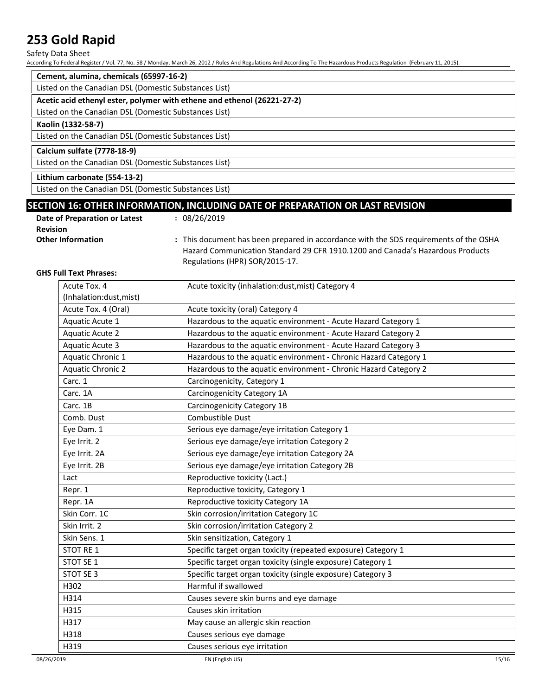#### Safety Data Sheet

According To Federal Register / Vol. 77, No. 58 / Monday, March 26, 2012 / Rules And Regulations And According To The Hazardous Products Regulation (February 11, 2015).

| Cement, alumina, chemicals (65997-16-2)                                 |  |
|-------------------------------------------------------------------------|--|
| Listed on the Canadian DSL (Domestic Substances List)                   |  |
| Acetic acid ethenyl ester, polymer with ethene and ethenol (26221-27-2) |  |
| Listed on the Canadian DSL (Domestic Substances List)                   |  |
| Kaolin (1332-58-7)                                                      |  |
| Listed on the Canadian DSL (Domestic Substances List)                   |  |
| Calcium sulfate (7778-18-9)                                             |  |
| Listed on the Canadian DSL (Domestic Substances List)                   |  |
| Lithium carbonate (554-13-2)                                            |  |
| Listed on the Canadian DSL (Domestic Substances List)                   |  |

## **SECTION 16: OTHER INFORMATION, INCLUDING DATE OF PREPARATION OR LAST REVISION**

| Date of Preparation or Latest | : 08/26/2019   |  |
|-------------------------------|----------------|--|
| <b>Revision</b>               |                |  |
| Other Information             | a This descuss |  |

**Other Information :** This document has been prepared in accordance with the SDS requirements of the OSHA Hazard Communication Standard 29 CFR 1910.1200 and Canada's Hazardous Products Regulations (HPR) SOR/2015-17.

#### **GHS Full Text Phrases:**

| Acute Tox. 4             | Acute toxicity (inhalation:dust, mist) Category 4                |
|--------------------------|------------------------------------------------------------------|
| (Inhalation:dust, mist)  |                                                                  |
| Acute Tox. 4 (Oral)      | Acute toxicity (oral) Category 4                                 |
| Aquatic Acute 1          | Hazardous to the aquatic environment - Acute Hazard Category 1   |
| <b>Aquatic Acute 2</b>   | Hazardous to the aquatic environment - Acute Hazard Category 2   |
| <b>Aquatic Acute 3</b>   | Hazardous to the aquatic environment - Acute Hazard Category 3   |
| Aquatic Chronic 1        | Hazardous to the aquatic environment - Chronic Hazard Category 1 |
| <b>Aquatic Chronic 2</b> | Hazardous to the aquatic environment - Chronic Hazard Category 2 |
| Carc. 1                  | Carcinogenicity, Category 1                                      |
| Carc. 1A                 | Carcinogenicity Category 1A                                      |
| Carc. 1B                 | Carcinogenicity Category 1B                                      |
| Comb. Dust               | Combustible Dust                                                 |
| Eye Dam. 1               | Serious eye damage/eye irritation Category 1                     |
| Eye Irrit. 2             | Serious eye damage/eye irritation Category 2                     |
| Eye Irrit. 2A            | Serious eye damage/eye irritation Category 2A                    |
| Eye Irrit. 2B            | Serious eye damage/eye irritation Category 2B                    |
| Lact                     | Reproductive toxicity (Lact.)                                    |
| Repr. 1                  | Reproductive toxicity, Category 1                                |
| Repr. 1A                 | Reproductive toxicity Category 1A                                |
| Skin Corr. 1C            | Skin corrosion/irritation Category 1C                            |
| Skin Irrit. 2            | Skin corrosion/irritation Category 2                             |
| Skin Sens. 1             | Skin sensitization, Category 1                                   |
| <b>STOT RE 1</b>         | Specific target organ toxicity (repeated exposure) Category 1    |
| STOT SE 1                | Specific target organ toxicity (single exposure) Category 1      |
| STOT SE 3                | Specific target organ toxicity (single exposure) Category 3      |
| H302                     | Harmful if swallowed                                             |
| H314                     | Causes severe skin burns and eye damage                          |
| H315                     | Causes skin irritation                                           |
| H317                     | May cause an allergic skin reaction                              |
| H318                     | Causes serious eye damage                                        |
| H319                     | Causes serious eye irritation                                    |